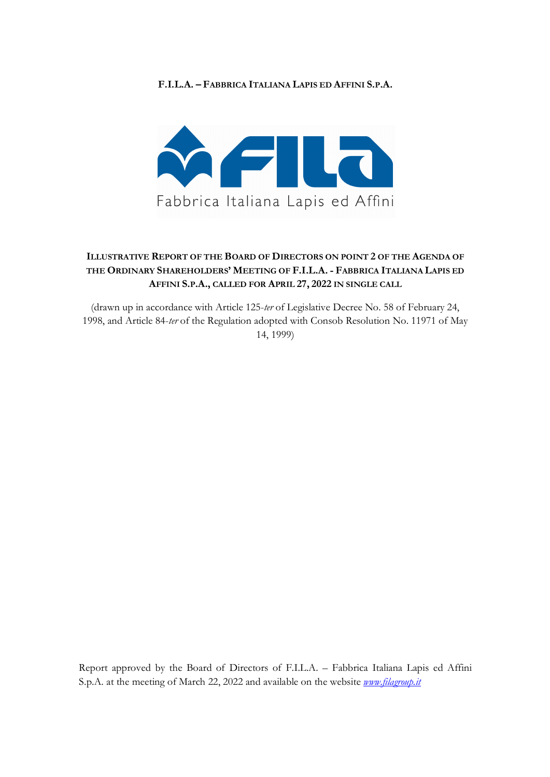## **F.I.L.A. – FABBRICA ITALIANA LAPIS ED AFFINI S.P.A.**



## **ILLUSTRATIVE REPORT OF THE BOARD OF DIRECTORS ON POINT 2 OF THE AGENDA OF THE ORDINARY SHAREHOLDERS' MEETING OF F.I.L.A. - FABBRICA ITALIANA LAPIS ED AFFINI S.P.A., CALLED FOR APRIL 27, 2022 IN SINGLE CALL**

(drawn up in accordance with Article 125-*ter* of Legislative Decree No. 58 of February 24, 1998, and Article 84-*ter* of the Regulation adopted with Consob Resolution No. 11971 of May 14, 1999)

Report approved by the Board of Directors of F.I.L.A. – Fabbrica Italiana Lapis ed Affini S.p.A. at the meeting of March 22, 2022 and available on the website *www.filagroup.it*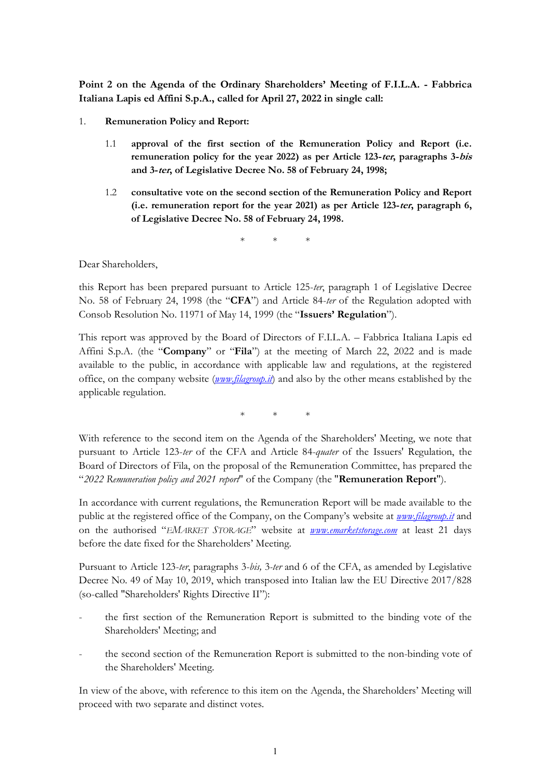**Point 2 on the Agenda of the Ordinary Shareholders' Meeting of F.I.L.A. - Fabbrica Italiana Lapis ed Affini S.p.A., called for April 27, 2022 in single call:**

- 1. **Remuneration Policy and Report:**
	- 1.1 **approval of the first section of the Remuneration Policy and Report (i.e. remuneration policy for the year 2022) as per Article 123-ter, paragraphs 3-bis and 3-ter, of Legislative Decree No. 58 of February 24, 1998;**
	- 1.2 **consultative vote on the second section of the Remuneration Policy and Report (i.e. remuneration report for the year 2021) as per Article 123-ter, paragraph 6, of Legislative Decree No. 58 of February 24, 1998.**

\* \* \*

Dear Shareholders,

this Report has been prepared pursuant to Article 125-*ter*, paragraph 1 of Legislative Decree No. 58 of February 24, 1998 (the "**CFA**") and Article 84-*ter* of the Regulation adopted with Consob Resolution No. 11971 of May 14, 1999 (the "**Issuers' Regulation**").

This report was approved by the Board of Directors of F.I.L.A. – Fabbrica Italiana Lapis ed Affini S.p.A. (the "**Company**" or "**Fila**") at the meeting of March 22, 2022 and is made available to the public, in accordance with applicable law and regulations, at the registered office, on the company website (*www.filagroup.it*) and also by the other means established by the applicable regulation.

\* \* \*

With reference to the second item on the Agenda of the Shareholders' Meeting, we note that pursuant to Article 123-*ter* of the CFA and Article 84-*quater* of the Issuers' Regulation, the Board of Directors of Fila, on the proposal of the Remuneration Committee, has prepared the "*2022 Remuneration policy and 2021 report*" of the Company (the "**Remuneration Report**").

In accordance with current regulations, the Remuneration Report will be made available to the public at the registered office of the Company, on the Company's website at *www.filagroup.it* and on the authorised "*EMARKET STORAGE*" website at *www.emarketstorage.com* at least 21 days before the date fixed for the Shareholders' Meeting.

Pursuant to Article 123-*ter*, paragraphs 3-*bis,* 3*-ter* and 6 of the CFA, as amended by Legislative Decree No. 49 of May 10, 2019, which transposed into Italian law the EU Directive 2017/828 (so-called "Shareholders' Rights Directive II"):

- the first section of the Remuneration Report is submitted to the binding vote of the Shareholders' Meeting; and
- the second section of the Remuneration Report is submitted to the non-binding vote of the Shareholders' Meeting.

In view of the above, with reference to this item on the Agenda, the Shareholders' Meeting will proceed with two separate and distinct votes.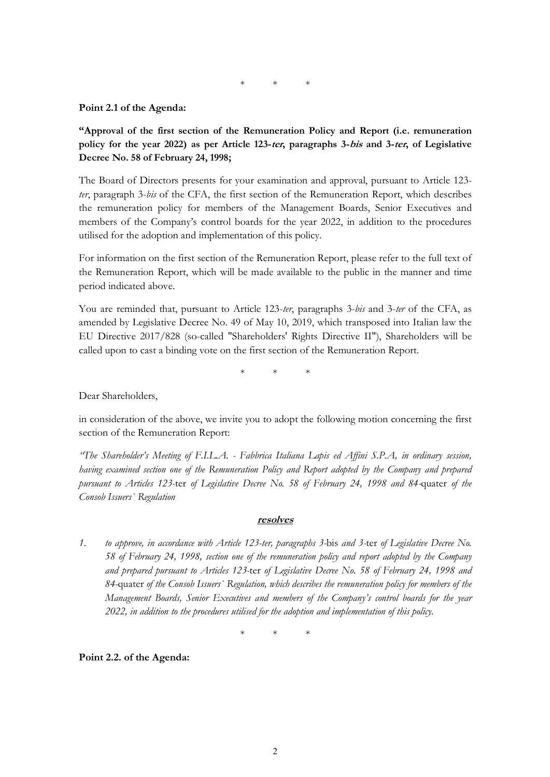\* \* \*

### **Point 2.1 of the Agenda:**

**"Approval of the first section of the Remuneration Policy and Report (i.e. remuneration policy for the year 2022) as per Article 123-ter, paragraphs 3-bis and 3-ter, of Legislative Decree No. 58 of February 24, 1998;**

The Board of Directors presents for your examination and approval, pursuant to Article 123 *ter*, paragraph 3-*bis* of the CFA, the first section of the Remuneration Report, which describes the remuneration policy for members of the Management Boards, Senior Executives and members of the Company's control boards for the year 2022, in addition to the procedures utilised for the adoption and implementation of this policy.

For information on the first section of the Remuneration Report, please refer to the full text of the Remuneration Report, which will be made available to the public in the manner and time period indicated above.

You are reminded that, pursuant to Article 123-*ter*, paragraphs 3-*bis* and 3-*ter* of the CFA, as amended by Legislative Decree No. 49 of May 10, 2019, which transposed into Italian law the EU Directive 2017/828 (so-called "Shareholders' Rights Directive II"), Shareholders will be called upon to cast a binding vote on the first section of the Remuneration Report.

\* \* \*

Dear Shareholders,

in consideration of the above, we invite you to adopt the following motion concerning the first section of the Remuneration Report:

*"The Shareholder's Meeting of F.I.L.A. - Fabbrica Italiana Lapis ed Affini S.P.A, in ordinary session, having examined section one of the Remuneration Policy and Report adopted by the Company and prepared pursuant to Articles 123-*ter *of Legislative Decree No. 58 of February 24, 1998 and 84-*quater *of the Consob Issuers` Regulation*

#### **resolves**

*1. to approve, in accordance with Article 123-ter, paragraphs 3-*bis *and 3-*ter *of Legislative Decree No. 58 of February 24, 1998, section one of the remuneration policy and report adopted by the Company and prepared pursuant to Articles 123-*ter *of Legislative Decree No. 58 of February 24, 1998 and 84-*quater *of the Consob Issuers` Regulation, which describes the remuneration policy for members of the Management Boards, Senior Executives and members of the Company's control boards for the year 2022, in addition to the procedures utilised for the adoption and implementation of this policy.*

\* \* \*

**Point 2.2. of the Agenda:**